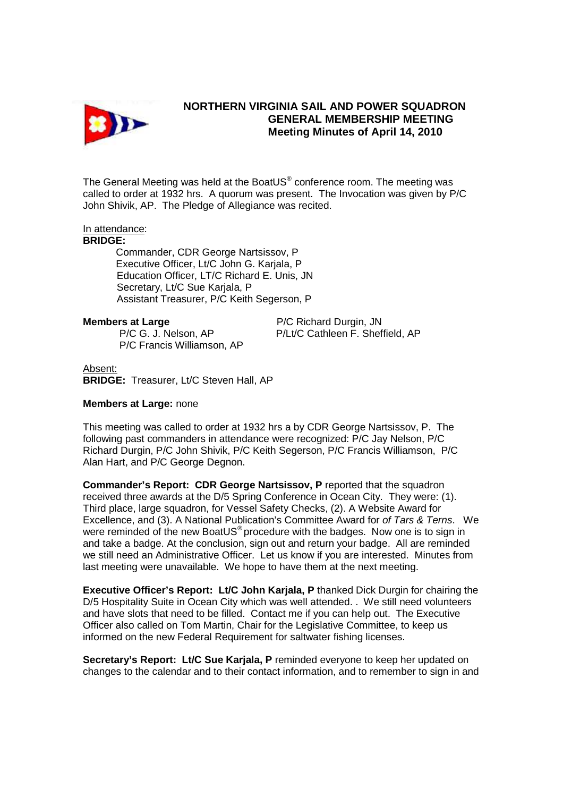

## **NORTHERN VIRGINIA SAIL AND POWER SQUADRON GENERAL MEMBERSHIP MEETING Meeting Minutes of April 14, 2010**

The General Meeting was held at the BoatUS $^{\circ}$  conference room. The meeting was called to order at 1932 hrs. A quorum was present. The Invocation was given by P/C John Shivik, AP. The Pledge of Allegiance was recited.

### In attendance:

### **BRIDGE:**

 Commander, CDR George Nartsissov, P Executive Officer, Lt/C John G. Karjala, P Education Officer, LT/C Richard E. Unis, JN Secretary, Lt/C Sue Karjala, P Assistant Treasurer, P/C Keith Segerson, P

P/C Francis Williamson, AP

**Members at Large**  P/C Richard Durgin, JN P/C G. J. Nelson, AP P/Lt/C Cathleen F. Sheffield, AP

Absent:

**BRIDGE:** Treasurer, Lt/C Steven Hall, AP

### **Members at Large:** none

This meeting was called to order at 1932 hrs a by CDR George Nartsissov, P. The following past commanders in attendance were recognized: P/C Jay Nelson, P/C Richard Durgin, P/C John Shivik, P/C Keith Segerson, P/C Francis Williamson, P/C Alan Hart, and P/C George Degnon.

**Commander's Report: CDR George Nartsissov, P** reported that the squadron received three awards at the D/5 Spring Conference in Ocean City. They were: (1). Third place, large squadron, for Vessel Safety Checks, (2). A Website Award for Excellence, and (3). A National Publication's Committee Award for of Tars & Terns. We were reminded of the new BoatUS<sup>®</sup> procedure with the badges. Now one is to sign in and take a badge. At the conclusion, sign out and return your badge. All are reminded we still need an Administrative Officer. Let us know if you are interested. Minutes from last meeting were unavailable. We hope to have them at the next meeting.

**Executive Officer's Report: Lt/C John Karjala, P thanked Dick Durgin for chairing the** D/5 Hospitality Suite in Ocean City which was well attended. . We still need volunteers and have slots that need to be filled. Contact me if you can help out. The Executive Officer also called on Tom Martin, Chair for the Legislative Committee, to keep us informed on the new Federal Requirement for saltwater fishing licenses.

**Secretary's Report: Lt/C Sue Karjala, P** reminded everyone to keep her updated on changes to the calendar and to their contact information, and to remember to sign in and